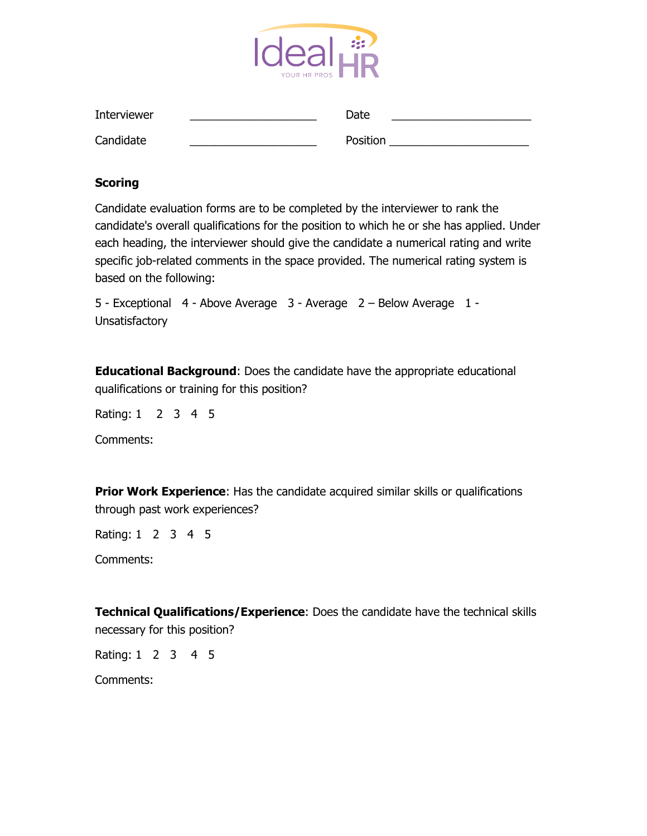

| Interviewer | Date     |  |
|-------------|----------|--|
| Candidate   | Position |  |

## **Scoring**

Candidate evaluation forms are to be completed by the interviewer to rank the candidate's overall qualifications for the position to which he or she has applied. Under each heading, the interviewer should give the candidate a numerical rating and write specific job-related comments in the space provided. The numerical rating system is based on the following:

5 - Exceptional 4 - Above Average 3 - Average 2 – Below Average 1 - **Unsatisfactory** 

**Educational Background**: Does the candidate have the appropriate educational qualifications or training for this position?

Rating: 1 2 3 4 5

Comments:

**Prior Work Experience:** Has the candidate acquired similar skills or qualifications through past work experiences?

Rating: 1 2 3 4 5

Comments:

**Technical Qualifications/Experience**: Does the candidate have the technical skills necessary for this position?

Rating: 1 2 3 4 5

Comments: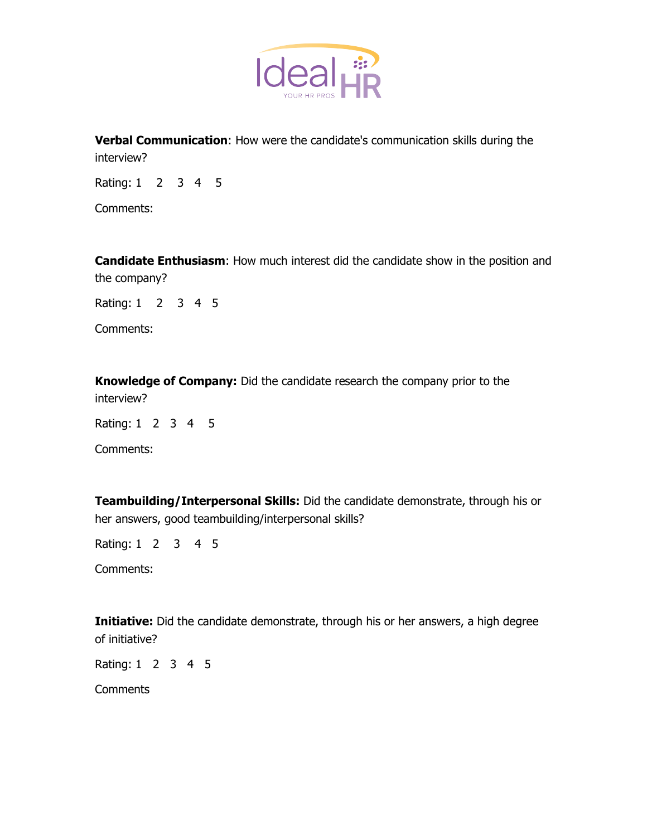

**Verbal Communication**: How were the candidate's communication skills during the interview?

Rating: 1 2 3 4 5

Comments:

**Candidate Enthusiasm**: How much interest did the candidate show in the position and the company?

Rating: 1 2 3 4 5

Comments:

**Knowledge of Company:** Did the candidate research the company prior to the interview?

Rating: 1 2 3 4 5

Comments:

**Teambuilding/Interpersonal Skills:** Did the candidate demonstrate, through his or her answers, good teambuilding/interpersonal skills?

Rating: 1 2 3 4 5

Comments:

**Initiative:** Did the candidate demonstrate, through his or her answers, a high degree of initiative?

Rating: 1 2 3 4 5

**Comments**